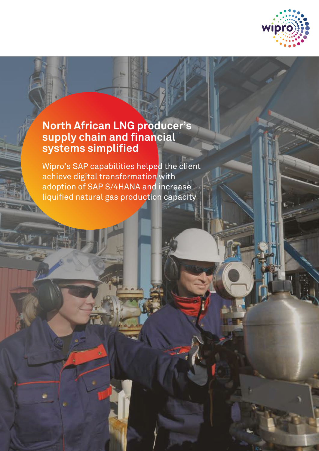

# **North African LNG producer's supply chain and financial systems simplified**

Wipro's SAP capabilities helped the client achieve digital transformation with adoption of SAP S/4HANA and increase liquified natural gas production capacity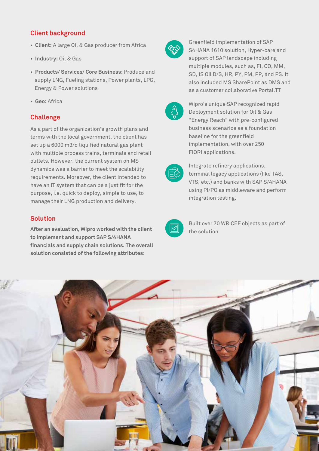# **Client background**

- **Client:** A large Oil & Gas producer from Africa
- **Industry:** Oil & Gas
- **Products/ Services/ Core Business:** Produce and supply LNG, Fueling stations, Power plants, LPG, Energy & Power solutions
- **Geo:** Africa

## **Challenge**

As a part of the organization's growth plans and terms with the local government, the client has set up a 6000 m3/d liquified natural gas plant with multiple process trains, terminals and retail outlets. However, the current system on MS dynamics was a barrier to meet the scalability requirements. Moreover, the client intended to have an IT system that can be a just fit for the purpose, i.e. quick to deploy, simple to use, to manage their LNG production and delivery.

#### **Solution**

**After an evaluation, Wipro worked with the client to implement and support SAP S/4HANA financials and supply chain solutions. The overall solution consisted of the following attributes:**



Greenfield implementation of SAP S4HANA 1610 solution, Hyper-care and support of SAP landscape including multiple modules, such as, FI, CO, MM, SD, IS Oil D/S, HR, PY, PM, PP, and PS. It also included MS SharePoint as DMS and as a customer collaborative Portal.TT



Wipro's unique SAP recognized rapid Deployment solution for Oil & Gas "Energy Reach" with pre-configured business scenarios as a foundation baseline for the greenfield implementation, with over 250 FIORI applications.



Integrate refinery applications, terminal legacy applications (like TAS, VTS, etc.) and banks with SAP S/4HANA using PI/PO as middleware and perform integration testing.



Built over 70 WRICEF objects as part of the solution

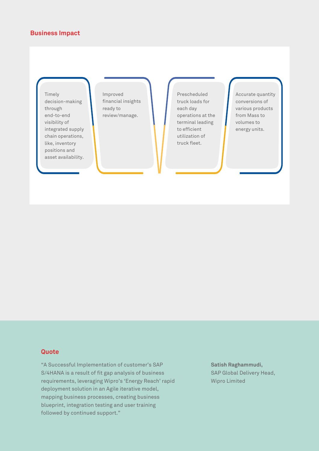### **Business Impact**

Timely decision-making through end-to-end visibility of integrated supply chain operations, like, inventory positions and asset availability.

Improved financial insights ready to review/manage.

Prescheduled truck loads for each day operations at the terminal leading to efficient utilization of truck fleet.

Accurate quantity conversions of various products from Mass to volumes to energy units.

### **Quote**

"A Successful Implementation of customer's SAP S/4HANA is a result of fit gap analysis of business requirements, leveraging Wipro's 'Energy Reach' rapid deployment solution in an Agile iterative model, mapping business processes, creating business blueprint, integration testing and user training followed by continued support."

**Satish Raghammudi,**  SAP Global Delivery Head, Wipro Limited